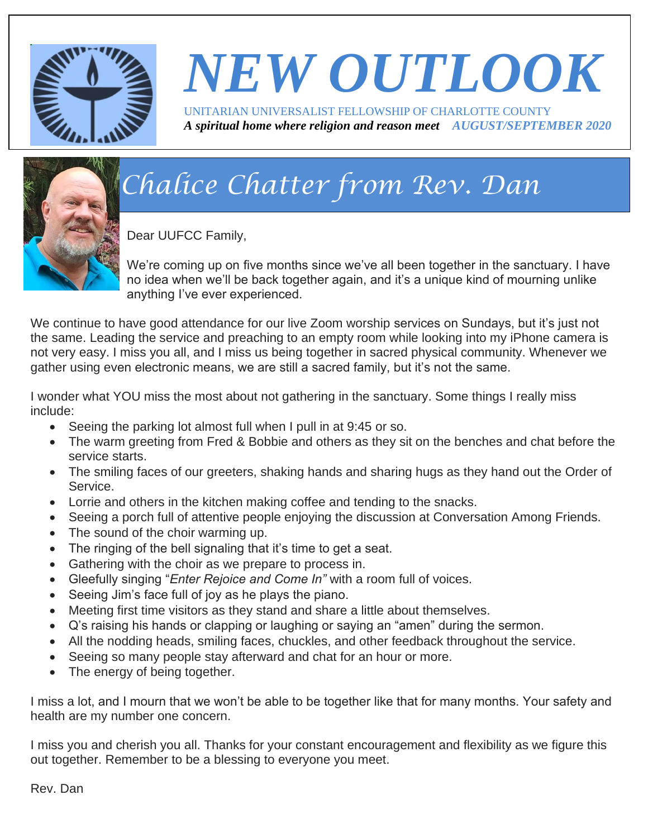

# *NEW OUTLOOK*

UNITARIAN UNIVERSALIST FELLOWSHIP OF CHARLOTTE COUNTY *A spiritual home where religion and reason meet AUGUST/SEPTEMBER 2020*



# *Chalice Chatter from Rev. Dan*

Dear UUFCC Family,

We're coming up on five months since we've all been together in the sanctuary. I have no idea when we'll be back together again, and it's a unique kind of mourning unlike anything I've ever experienced.

We continue to have good attendance for our live Zoom worship services on Sundays, but it's just not the same. Leading the service and preaching to an empty room while looking into my iPhone camera is not very easy. I miss you all, and I miss us being together in sacred physical community. Whenever we gather using even electronic means, we are still a sacred family, but it's not the same.

I wonder what YOU miss the most about not gathering in the sanctuary. Some things I really miss include:

- Seeing the parking lot almost full when I pull in at 9:45 or so.
- The warm greeting from Fred & Bobbie and others as they sit on the benches and chat before the service starts.
- The smiling faces of our greeters, shaking hands and sharing hugs as they hand out the Order of Service.
- Lorrie and others in the kitchen making coffee and tending to the snacks.
- Seeing a porch full of attentive people enjoying the discussion at Conversation Among Friends.
- The sound of the choir warming up.
- The ringing of the bell signaling that it's time to get a seat.
- Gathering with the choir as we prepare to process in.
- Gleefully singing "*Enter Rejoice and Come In"* with a room full of voices.
- Seeing Jim's face full of joy as he plays the piano.
- Meeting first time visitors as they stand and share a little about themselves.
- Q's raising his hands or clapping or laughing or saying an "amen" during the sermon.
- All the nodding heads, smiling faces, chuckles, and other feedback throughout the service.
- Seeing so many people stay afterward and chat for an hour or more.
- The energy of being together.

I miss a lot, and I mourn that we won't be able to be together like that for many months. Your safety and health are my number one concern.

I miss you and cherish you all. Thanks for your constant encouragement and flexibility as we figure this out together. Remember to be a blessing to everyone you meet.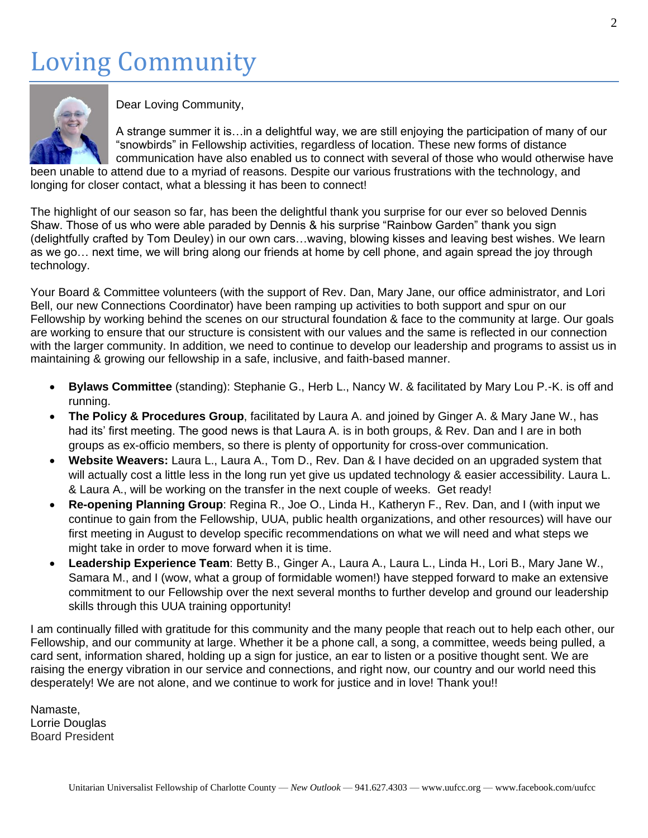## Loving Community



Dear Loving Community,

A strange summer it is…in a delightful way, we are still enjoying the participation of many of our "snowbirds" in Fellowship activities, regardless of location. These new forms of distance communication have also enabled us to connect with several of those who would otherwise have

been unable to attend due to a myriad of reasons. Despite our various frustrations with the technology, and longing for closer contact, what a blessing it has been to connect!

The highlight of our season so far, has been the delightful thank you surprise for our ever so beloved Dennis Shaw. Those of us who were able paraded by Dennis & his surprise "Rainbow Garden" thank you sign (delightfully crafted by Tom Deuley) in our own cars…waving, blowing kisses and leaving best wishes. We learn as we go… next time, we will bring along our friends at home by cell phone, and again spread the joy through technology.

Your Board & Committee volunteers (with the support of Rev. Dan, Mary Jane, our office administrator, and Lori Bell, our new Connections Coordinator) have been ramping up activities to both support and spur on our Fellowship by working behind the scenes on our structural foundation & face to the community at large. Our goals are working to ensure that our structure is consistent with our values and the same is reflected in our connection with the larger community. In addition, we need to continue to develop our leadership and programs to assist us in maintaining & growing our fellowship in a safe, inclusive, and faith-based manner.

- **Bylaws Committee** (standing): Stephanie G., Herb L., Nancy W. & facilitated by Mary Lou P.-K. is off and running.
- **The Policy & Procedures Group**, facilitated by Laura A. and joined by Ginger A. & Mary Jane W., has had its' first meeting. The good news is that Laura A. is in both groups, & Rev. Dan and I are in both groups as ex-officio members, so there is plenty of opportunity for cross-over communication.
- **Website Weavers:** Laura L., Laura A., Tom D., Rev. Dan & I have decided on an upgraded system that will actually cost a little less in the long run yet give us updated technology & easier accessibility. Laura L. & Laura A., will be working on the transfer in the next couple of weeks. Get ready!
- **Re-opening Planning Group**: Regina R., Joe O., Linda H., Katheryn F., Rev. Dan, and I (with input we continue to gain from the Fellowship, UUA, public health organizations, and other resources) will have our first meeting in August to develop specific recommendations on what we will need and what steps we might take in order to move forward when it is time.
- **Leadership Experience Team**: Betty B., Ginger A., Laura A., Laura L., Linda H., Lori B., Mary Jane W., Samara M., and I (wow, what a group of formidable women!) have stepped forward to make an extensive commitment to our Fellowship over the next several months to further develop and ground our leadership skills through this UUA training opportunity!

I am continually filled with gratitude for this community and the many people that reach out to help each other, our Fellowship, and our community at large. Whether it be a phone call, a song, a committee, weeds being pulled, a card sent, information shared, holding up a sign for justice, an ear to listen or a positive thought sent. We are raising the energy vibration in our service and connections, and right now, our country and our world need this desperately! We are not alone, and we continue to work for justice and in love! Thank you!!

Namaste, Lorrie Douglas Board President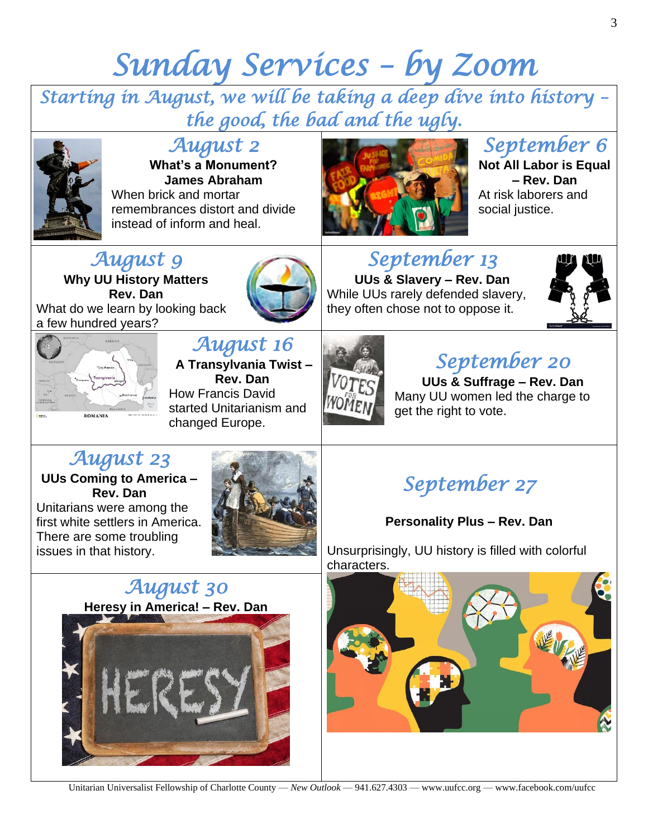# *Sunday Services – by Zoom*

*Starting in August, we will be taking a deep dive into history – the good, the bad and the ugly.* 



#### *August 2*

**What's a Monument? James Abraham** When brick and mortar remembrances distort and divide instead of inform and heal.

### *August 9*

**Why UU History Matters Rev. Dan** What do we learn by looking back a few hundred years?



## *September 13*

**UUs & Slavery – Rev. Dan** While UUs rarely defended slavery, they often chose not to oppose it.



*September 6*  **Not All Labor is Equal – Rev. Dan** At risk laborers and

social justice.



#### *August 16*  **A Transylvania Twist – Rev. Dan**

How Francis David started Unitarianism and changed Europe.



## *September 20*

**UUs & Suffrage – Rev. Dan** Many UU women led the charge to get the right to vote.

#### *August 23*

**UUs Coming to America – Rev. Dan** Unitarians were among the

first white settlers in America. There are some troubling issues in that history.



## *September 27*

#### **Personality Plus – Rev. Dan**

Unsurprisingly, UU history is filled with colorful characters.





Unitarian Universalist Fellowship of Charlotte County — *New Outlook* — 941.627.4303 — www.uufcc.org — www.facebook.com/uufcc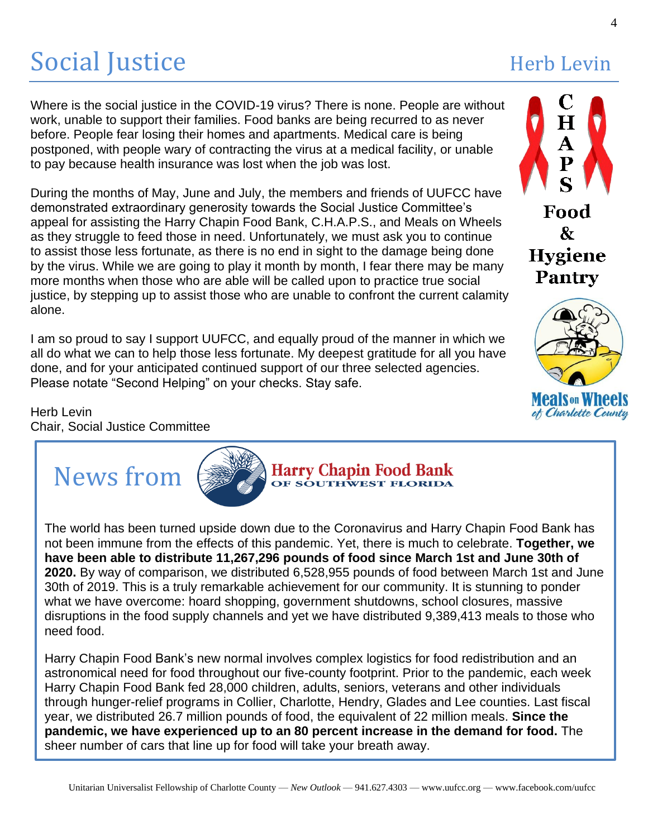# Social Justice Herb Levin

Where is the social justice in the COVID-19 virus? There is none. People are without work, unable to support their families. Food banks are being recurred to as never before. People fear losing their homes and apartments. Medical care is being postponed, with people wary of contracting the virus at a medical facility, or unable to pay because health insurance was lost when the job was lost.

During the months of May, June and July, the members and friends of UUFCC have demonstrated extraordinary generosity towards the Social Justice Committee's appeal for assisting the Harry Chapin Food Bank, C.H.A.P.S., and Meals on Wheels as they struggle to feed those in need. Unfortunately, we must ask you to continue to assist those less fortunate, as there is no end in sight to the damage being done by the virus. While we are going to play it month by month, I fear there may be many more months when those who are able will be called upon to practice true social justice, by stepping up to assist those who are unable to confront the current calamity alone.

I am so proud to say I support UUFCC, and equally proud of the manner in which we all do what we can to help those less fortunate. My deepest gratitude for all you have done, and for your anticipated continued support of our three selected agencies. Please notate "Second Helping" on your checks. Stay safe.

Herb Levin Chair, Social Justice Committee





**Harry Chapin Food Bank**<br>OF SOUTHWEST FLORIDA

The world has been turned upside down due to the Coronavirus and Harry Chapin Food Bank has I he world has been turned upside down due to the Coronavirus and Harry Chapin Food Bank has not been immune from the effects of this pandemic. Yet, there is much to celebrate. **Together, we have been able to distribute 11,267,296 pounds of food since March 1st and June 30th of 2020.** By way of comparison, we distributed 6,528,955 pounds of food between March 1st and June<br>2010, By way of comparison, we distributed 6,528,955 pounds of food between March 1st and June 30th of 2019. This is a truly remarkable achievement for our community. It is stunning to ponder what we have overcome: hoard shopping, government shutdowns, school closures, massive disruptions in the food supply channels and yet we have distributed 9,389,413 meals to those who need food.

Harry Chapin Food Bank's new normal involves complex logistics for food redistribution and an astronomical need for food throughout our five-county footprint. Prior to the pandemic, each week Harry Chapin Food Bank fed 28,000 children, adults, seniors, veterans and other individuals through hunger-relief programs in Collier, Charlotte, Hendry, Glades and Lee counties. Last fiscal year, we distributed 26.7 million pounds of food, the equivalent of 22 million meals. **Since the pandemic, we have experienced up to an 80 percent increase in the demand for food.** The sheer number of cars that line up for food will take your breath away.